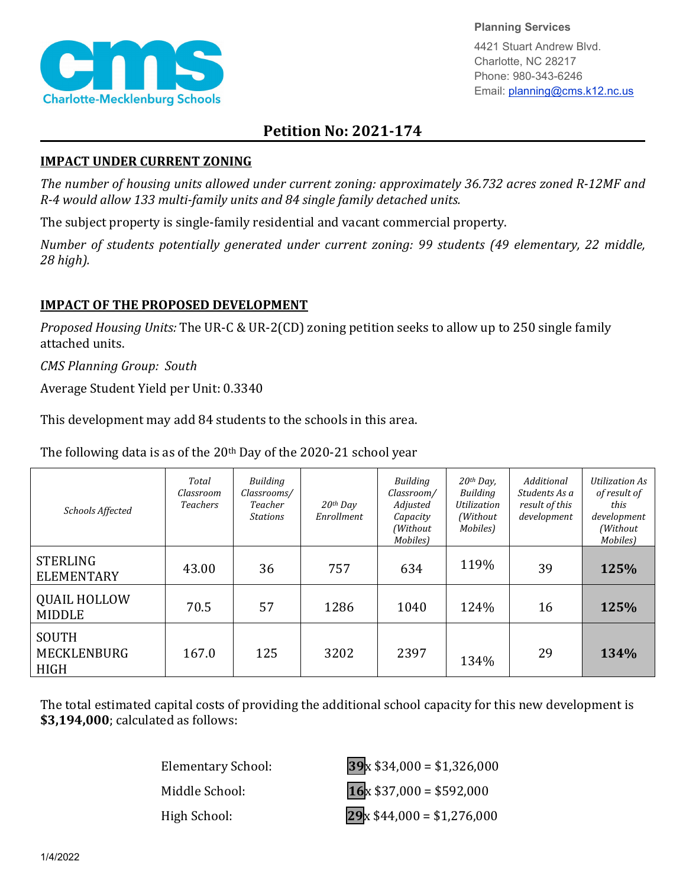

**Planning Services**

4421 Stuart Andrew Blvd. Charlotte, NC 28217 Phone: 980-343-6246 Email: planning@cms.k12.nc.us

## **Petition No: 2021-174**

## **IMPACT UNDER CURRENT ZONING**

*The number of housing units allowed under current zoning: approximately 36.732 acres zoned R-12MF and R-4 would allow 133 multi-family units and 84 single family detached units.*

The subject property is single-family residential and vacant commercial property.

*Number of students potentially generated under current zoning: 99 students (49 elementary, 22 middle, 28 high).*

## **IMPACT OF THE PROPOSED DEVELOPMENT**

*Proposed Housing Units:* The UR-C & UR-2(CD) zoning petition seeks to allow up to 250 single family attached units.

*CMS Planning Group: South*

Average Student Yield per Unit: 0.3340

This development may add 84 students to the schools in this area.

The following data is as of the  $20<sup>th</sup>$  Day of the 2020-21 school year

| Schools Affected                                  | Total<br>Classroom<br><b>Teachers</b> | Building<br>Classrooms/<br>Teacher<br><b>Stations</b> | $20th$ Day<br>Enrollment | Building<br>Classroom/<br>Adjusted<br>Capacity<br>(Without<br>Mobiles) | 20th Day,<br>Building<br><b>Utilization</b><br>(Without<br>Mobiles) | Additional<br>Students As a<br>result of this<br>development | <b>Utilization As</b><br>of result of<br>this<br>development<br>(Without<br>Mobiles) |
|---------------------------------------------------|---------------------------------------|-------------------------------------------------------|--------------------------|------------------------------------------------------------------------|---------------------------------------------------------------------|--------------------------------------------------------------|--------------------------------------------------------------------------------------|
| <b>STERLING</b><br><b>ELEMENTARY</b>              | 43.00                                 | 36                                                    | 757                      | 634                                                                    | 119%                                                                | 39                                                           | 125%                                                                                 |
| <b>QUAIL HOLLOW</b><br><b>MIDDLE</b>              | 70.5                                  | 57                                                    | 1286                     | 1040                                                                   | 124%                                                                | 16                                                           | 125%                                                                                 |
| <b>SOUTH</b><br><b>MECKLENBURG</b><br><b>HIGH</b> | 167.0                                 | 125                                                   | 3202                     | 2397                                                                   | 134%                                                                | 29                                                           | 134%                                                                                 |

The total estimated capital costs of providing the additional school capacity for this new development is **\$3,194,000**; calculated as follows:

Elementary School: **39**x \$34,000 = \$1,326,000 Middle School: **16**x \$37,000 = \$592,000 High School: **29**x \$44,000 = \$1,276,000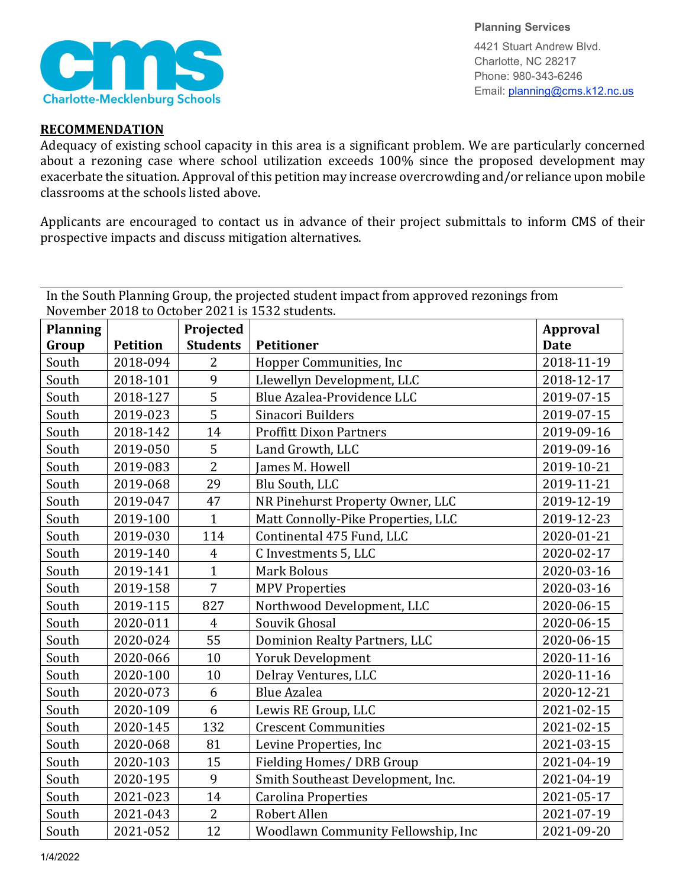

**Planning Services** 4421 Stuart Andrew Blvd. Charlotte, NC 28217 Phone: 980-343-6246 Email: planning@cms.k12.nc.us

## **RECOMMENDATION**

Adequacy of existing school capacity in this area is a significant problem. We are particularly concerned about a rezoning case where school utilization exceeds 100% since the proposed development may exacerbate the situation. Approval of this petition may increase overcrowding and/or reliance upon mobile classrooms at the schools listed above.

Applicants are encouraged to contact us in advance of their project submittals to inform CMS of their prospective impacts and discuss mitigation alternatives.

In the South Planning Group, the projected student impact from approved rezonings from November 2018 to October 2021 is 1532 students.

| <b>Planning</b> |                 | Projected       |                                    | <b>Approval</b> |
|-----------------|-----------------|-----------------|------------------------------------|-----------------|
| Group           | <b>Petition</b> | <b>Students</b> | Petitioner                         | <b>Date</b>     |
| South           | 2018-094        | $\overline{2}$  | Hopper Communities, Inc.           | 2018-11-19      |
| South           | 2018-101        | 9               | Llewellyn Development, LLC         | 2018-12-17      |
| South           | 2018-127        | 5               | Blue Azalea-Providence LLC         | 2019-07-15      |
| South           | 2019-023        | 5               | Sinacori Builders                  | 2019-07-15      |
| South           | 2018-142        | 14              | <b>Proffitt Dixon Partners</b>     | 2019-09-16      |
| South           | 2019-050        | 5               | Land Growth, LLC                   | 2019-09-16      |
| South           | 2019-083        | $\overline{2}$  | James M. Howell                    | 2019-10-21      |
| South           | 2019-068        | 29              | Blu South, LLC                     | 2019-11-21      |
| South           | 2019-047        | 47              | NR Pinehurst Property Owner, LLC   | 2019-12-19      |
| South           | 2019-100        | $\mathbf{1}$    | Matt Connolly-Pike Properties, LLC | 2019-12-23      |
| South           | 2019-030        | 114             | Continental 475 Fund, LLC          | 2020-01-21      |
| South           | 2019-140        | $\overline{4}$  | C Investments 5, LLC               | 2020-02-17      |
| South           | 2019-141        | $\mathbf{1}$    | <b>Mark Bolous</b>                 | 2020-03-16      |
| South           | 2019-158        | $\overline{7}$  | <b>MPV Properties</b>              | 2020-03-16      |
| South           | 2019-115        | 827             | Northwood Development, LLC         | 2020-06-15      |
| South           | 2020-011        | $\overline{4}$  | Souvik Ghosal                      | 2020-06-15      |
| South           | 2020-024        | 55              | Dominion Realty Partners, LLC      | 2020-06-15      |
| South           | 2020-066        | 10              | <b>Yoruk Development</b>           | 2020-11-16      |
| South           | 2020-100        | 10              | Delray Ventures, LLC               | 2020-11-16      |
| South           | 2020-073        | 6               | <b>Blue Azalea</b>                 | 2020-12-21      |
| South           | 2020-109        | 6               | Lewis RE Group, LLC                | 2021-02-15      |
| South           | 2020-145        | 132             | <b>Crescent Communities</b>        | 2021-02-15      |
| South           | 2020-068        | 81              | Levine Properties, Inc             | 2021-03-15      |
| South           | 2020-103        | 15              | Fielding Homes/DRB Group           | 2021-04-19      |
| South           | 2020-195        | 9               | Smith Southeast Development, Inc.  | 2021-04-19      |
| South           | 2021-023        | 14              | <b>Carolina Properties</b>         | 2021-05-17      |
| South           | 2021-043        | $\overline{2}$  | Robert Allen                       | 2021-07-19      |
| South           | 2021-052        | 12              | Woodlawn Community Fellowship, Inc | 2021-09-20      |